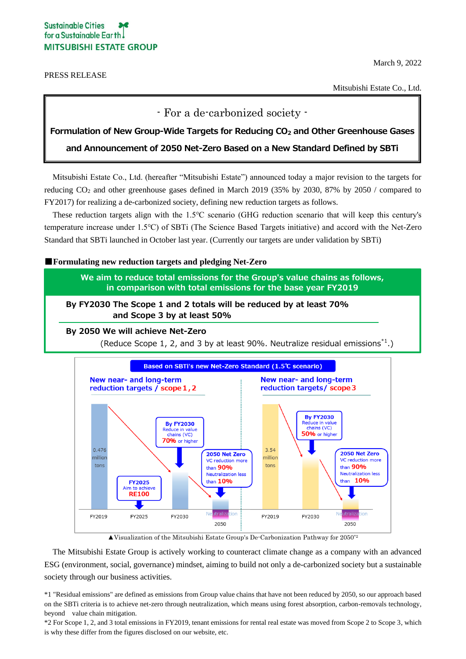## **Sustainable Cities** for a Sustainable Earth! **MITSUBISHI ESTATE GROUP**

PRESS RELEASE

March 9, 2022

Mitsubishi Estate Co., Ltd.

- For a de-carbonized society -

### **Formulation of New Group-Wide Targets for Reducing CO<sup>2</sup> and Other Greenhouse Gases**

**and Announcement of 2050 Net-Zero Based on a New Standard Defined by SBTi**

Mitsubishi Estate Co., Ltd. (hereafter "Mitsubishi Estate") announced today a major revision to the targets for reducing CO<sup>2</sup> and other greenhouse gases defined in March 2019 (35% by 2030, 87% by 2050 / compared to FY2017) for realizing a de-carbonized society, defining new reduction targets as follows.

These reduction targets align with the 1.5℃ scenario (GHG reduction scenario that will keep this century's temperature increase under 1.5℃) of SBTi (The Science Based Targets initiative) and accord with the Net-Zero Standard that SBTi launched in October last year. (Currently our targets are under validation by SBTi)

■**Formulating new reduction targets and pledging Net-Zero**

**We aim to reduce total emissions for the Group's value chains as follows, in comparison with total emissions for the base year FY2019**

**By FY2030 The Scope 1 and 2 totals will be reduced by at least 70% and Scope 3 by at least 50%**

**By 2050 We will achieve Net-Zero**

(Reduce Scope 1, 2, and 3 by at least 90%. Neutralize residual emissions<sup>\*1</sup>.)



 $\triangle$ Visualization of the Mitsubishi Estate Group's De-Carbonization Pathway for 2050<sup>\*2</sup>

The Mitsubishi Estate Group is actively working to counteract climate change as a company with an advanced ESG (environment, social, governance) mindset, aiming to build not only a de-carbonized society but a sustainable society through our business activities.

\*1 "Residual emissions" are defined as emissions from Group value chains that have not been reduced by 2050, so our approach based on the SBTi criteria is to achieve net-zero through neutralization, which means using forest absorption, carbon-removals technology, beyond value chain mitigation.

\*2 For Scope 1, 2, and 3 total emissions in FY2019, tenant emissions for rental real estate was moved from Scope 2 to Scope 3, which is why these differ from the figures disclosed on our website, etc.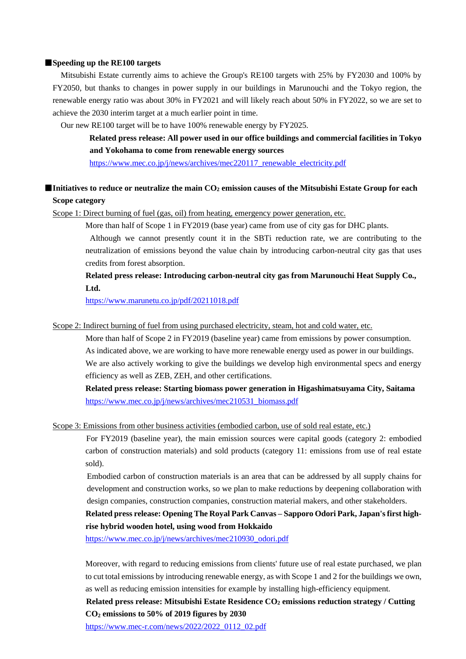### ■**Speeding up the RE100 targets**

Mitsubishi Estate currently aims to achieve the Group's RE100 targets with 25% by FY2030 and 100% by FY2050, but thanks to changes in power supply in our buildings in Marunouchi and the Tokyo region, the renewable energy ratio was about 30% in FY2021 and will likely reach about 50% in FY2022, so we are set to achieve the 2030 interim target at a much earlier point in time.

Our new RE100 target will be to have 100% renewable energy by FY2025.

 **Related press release: All power used in our office buildings and commercial facilities in Tokyo and Yokohama to come from renewable energy sources**

[https://www.mec.co.jp/j/news/archives/mec220117\\_renewable\\_electricity.pdf](https://www.mec.co.jp/j/news/archives/mec220117_renewable_electricity.pdf)

# ■**Initiatives to reduce or neutralize the main CO<sub>2</sub> emission causes of the Mitsubishi Estate Group for each Scope category**

Scope 1: Direct burning of fuel (gas, oil) from heating, emergency power generation, etc.

More than half of Scope 1 in FY2019 (base year) came from use of city gas for DHC plants.

 Although we cannot presently count it in the SBTi reduction rate, we are contributing to the neutralization of emissions beyond the value chain by introducing carbon-neutral city gas that uses credits from forest absorption.

 **Related press release: Introducing carbon-neutral city gas from Marunouchi Heat Supply Co., Ltd.**

<https://www.marunetu.co.jp/pdf/20211018.pdf>

Scope 2: Indirect burning of fuel from using purchased electricity, steam, hot and cold water, etc.

 More than half of Scope 2 in FY2019 (baseline year) came from emissions by power consumption. As indicated above, we are working to have more renewable energy used as power in our buildings. We are also actively working to give the buildings we develop high environmental specs and energy efficiency as well as ZEB, ZEH, and other certifications.

 **Related press release: Starting biomass power generation in Higashimatsuyama City, Saitama** [https://www.mec.co.jp/j/news/archives/mec210531\\_biomass.pdf](https://www.mec.co.jp/j/news/archives/mec210531_biomass.pdf)

Scope 3: Emissions from other business activities (embodied carbon, use of sold real estate, etc.)

 For FY2019 (baseline year), the main emission sources were capital goods (category 2: embodied carbon of construction materials) and sold products (category 11: emissions from use of real estate sold).

Embodied carbon of construction materials is an area that can be addressed by all supply chains for development and construction works, so we plan to make reductions by deepening collaboration with design companies, construction companies, construction material makers, and other stakeholders.

## **Related press release: Opening The Royal Park Canvas – Sapporo Odori Park, Japan's first highrise hybrid wooden hotel, using wood from Hokkaido**

[https://www.mec.co.jp/j/news/archives/mec210930\\_odori.pdf](https://www.mec.co.jp/j/news/archives/mec210930_odori.pdf)

Moreover, with regard to reducing emissions from clients' future use of real estate purchased, we plan to cut total emissions by introducing renewable energy, as with Scope 1 and 2 for the buildings we own, as well as reducing emission intensities for example by installing high-efficiency equipment.

 **Related press release: Mitsubishi Estate Residence CO<sup>2</sup> emissions reduction strategy / Cutting CO<sup>2</sup> emissions to 50% of 2019 figures by 2030**

[https://www.mec-r.com/news/2022/2022\\_0112\\_02.pdf](https://www.mec-r.com/news/2022/2022_0112_02.pdf)